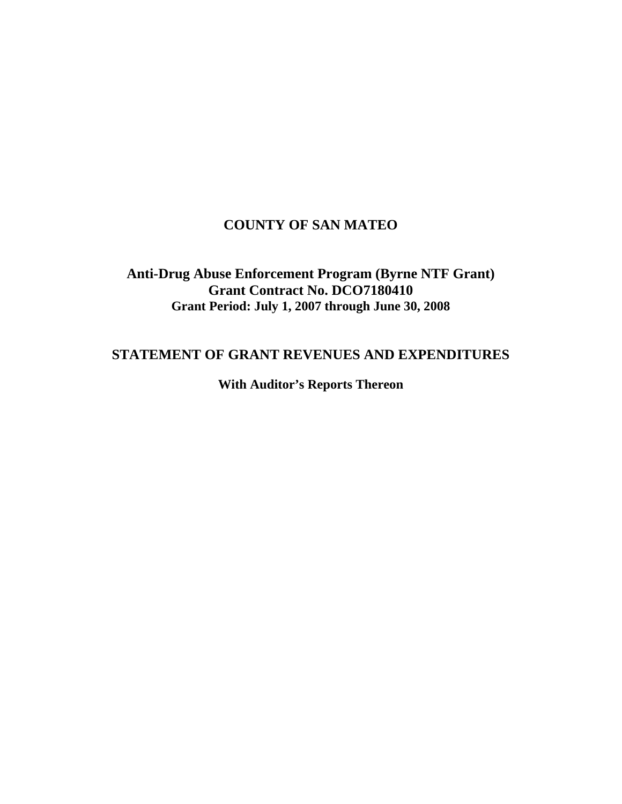# **COUNTY OF SAN MATEO**

# **Anti-Drug Abuse Enforcement Program (Byrne NTF Grant) Grant Contract No. DCO7180410 Grant Period: July 1, 2007 through June 30, 2008**

# **STATEMENT OF GRANT REVENUES AND EXPENDITURES**

**With Auditor's Reports Thereon**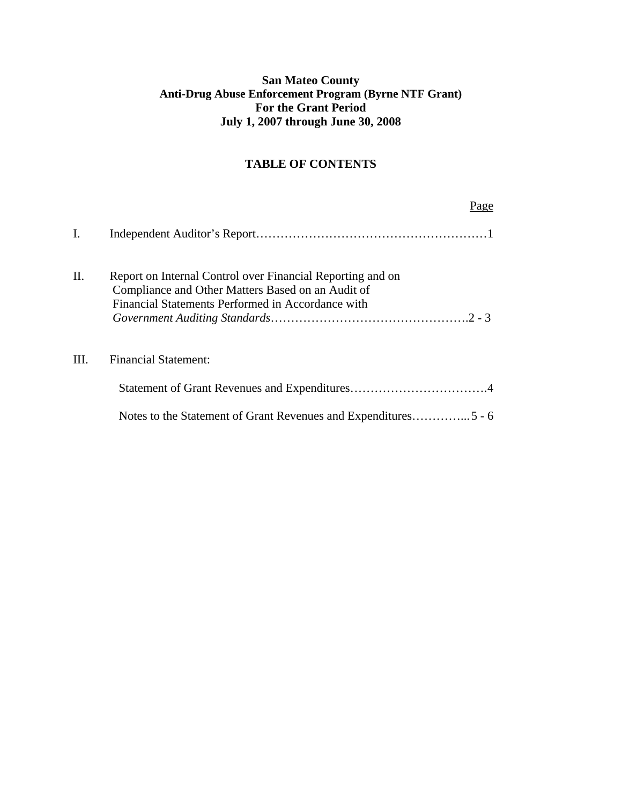## **San Mateo County Anti-Drug Abuse Enforcement Program (Byrne NTF Grant) For the Grant Period July 1, 2007 through June 30, 2008**

## **TABLE OF CONTENTS**

|                | Page                                                                                                                                                                 |
|----------------|----------------------------------------------------------------------------------------------------------------------------------------------------------------------|
| $\mathbf{I}$ . |                                                                                                                                                                      |
| II.            | Report on Internal Control over Financial Reporting and on<br>Compliance and Other Matters Based on an Audit of<br>Financial Statements Performed in Accordance with |
| III.           | <b>Financial Statement:</b>                                                                                                                                          |
|                |                                                                                                                                                                      |
|                |                                                                                                                                                                      |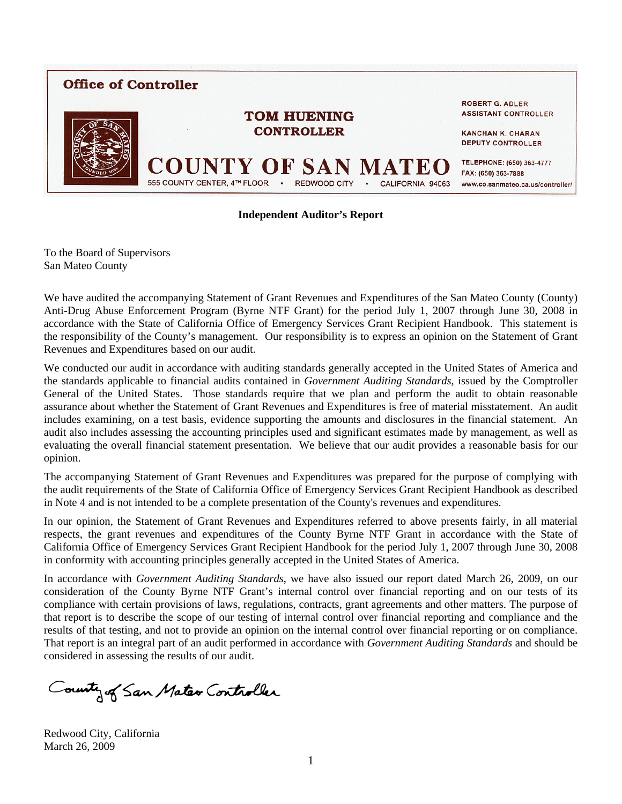

#### **Independent Auditor's Report**

To the Board of Supervisors San Mateo County

We have audited the accompanying Statement of Grant Revenues and Expenditures of the San Mateo County (County) Anti-Drug Abuse Enforcement Program (Byrne NTF Grant) for the period July 1, 2007 through June 30, 2008 in accordance with the State of California Office of Emergency Services Grant Recipient Handbook. This statement is the responsibility of the County's management. Our responsibility is to express an opinion on the Statement of Grant Revenues and Expenditures based on our audit.

We conducted our audit in accordance with auditing standards generally accepted in the United States of America and the standards applicable to financial audits contained in *Government Auditing Standards*, issued by the Comptroller General of the United States. Those standards require that we plan and perform the audit to obtain reasonable assurance about whether the Statement of Grant Revenues and Expenditures is free of material misstatement. An audit includes examining, on a test basis, evidence supporting the amounts and disclosures in the financial statement. An audit also includes assessing the accounting principles used and significant estimates made by management, as well as evaluating the overall financial statement presentation. We believe that our audit provides a reasonable basis for our opinion.

The accompanying Statement of Grant Revenues and Expenditures was prepared for the purpose of complying with the audit requirements of the State of California Office of Emergency Services Grant Recipient Handbook as described in Note 4 and is not intended to be a complete presentation of the County's revenues and expenditures.

In our opinion, the Statement of Grant Revenues and Expenditures referred to above presents fairly, in all material respects, the grant revenues and expenditures of the County Byrne NTF Grant in accordance with the State of California Office of Emergency Services Grant Recipient Handbook for the period July 1, 2007 through June 30, 2008 in conformity with accounting principles generally accepted in the United States of America.

In accordance with *Government Auditing Standards*, we have also issued our report dated March 26, 2009, on our consideration of the County Byrne NTF Grant's internal control over financial reporting and on our tests of its compliance with certain provisions of laws, regulations, contracts, grant agreements and other matters. The purpose of that report is to describe the scope of our testing of internal control over financial reporting and compliance and the results of that testing, and not to provide an opinion on the internal control over financial reporting or on compliance. That report is an integral part of an audit performed in accordance with *Government Auditing Standards* and should be considered in assessing the results of our audit.

County of San Mater Controller

Redwood City, California March 26, 2009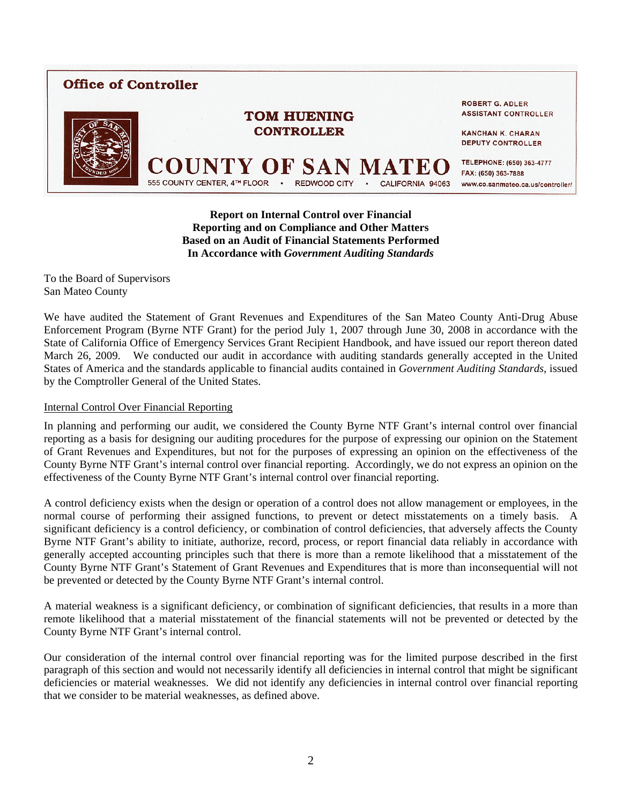# **Office of Controller**



**ROBERT G. ADLER ASSISTANT CONTROLLER** 

**KANCHAN K. CHARAN DEPUTY CONTROLLER** 

TELEPHONE: (650) 363-4777 FAX: (650) 363-7888 555 COUNTY CENTER, 4TH FLOOR **REDWOOD CITY** CALIFORNIA 94063 www.co.sanmateo.ca.us/controller/

**Report on Internal Control over Financial Reporting and on Compliance and Other Matters Based on an Audit of Financial Statements Performed In Accordance with** *Government Auditing Standards* 

**TOM HUENING CONTROLLER** 

To the Board of Supervisors San Mateo County

We have audited the Statement of Grant Revenues and Expenditures of the San Mateo County Anti-Drug Abuse Enforcement Program (Byrne NTF Grant) for the period July 1, 2007 through June 30, 2008 in accordance with the State of California Office of Emergency Services Grant Recipient Handbook, and have issued our report thereon dated March 26, 2009. We conducted our audit in accordance with auditing standards generally accepted in the United States of America and the standards applicable to financial audits contained in *Government Auditing Standards*, issued by the Comptroller General of the United States.

#### Internal Control Over Financial Reporting

In planning and performing our audit, we considered the County Byrne NTF Grant's internal control over financial reporting as a basis for designing our auditing procedures for the purpose of expressing our opinion on the Statement of Grant Revenues and Expenditures, but not for the purposes of expressing an opinion on the effectiveness of the County Byrne NTF Grant's internal control over financial reporting. Accordingly, we do not express an opinion on the effectiveness of the County Byrne NTF Grant's internal control over financial reporting.

A control deficiency exists when the design or operation of a control does not allow management or employees, in the normal course of performing their assigned functions, to prevent or detect misstatements on a timely basis. A significant deficiency is a control deficiency, or combination of control deficiencies, that adversely affects the County Byrne NTF Grant's ability to initiate, authorize, record, process, or report financial data reliably in accordance with generally accepted accounting principles such that there is more than a remote likelihood that a misstatement of the County Byrne NTF Grant's Statement of Grant Revenues and Expenditures that is more than inconsequential will not be prevented or detected by the County Byrne NTF Grant's internal control.

A material weakness is a significant deficiency, or combination of significant deficiencies, that results in a more than remote likelihood that a material misstatement of the financial statements will not be prevented or detected by the County Byrne NTF Grant's internal control.

Our consideration of the internal control over financial reporting was for the limited purpose described in the first paragraph of this section and would not necessarily identify all deficiencies in internal control that might be significant deficiencies or material weaknesses. We did not identify any deficiencies in internal control over financial reporting that we consider to be material weaknesses, as defined above.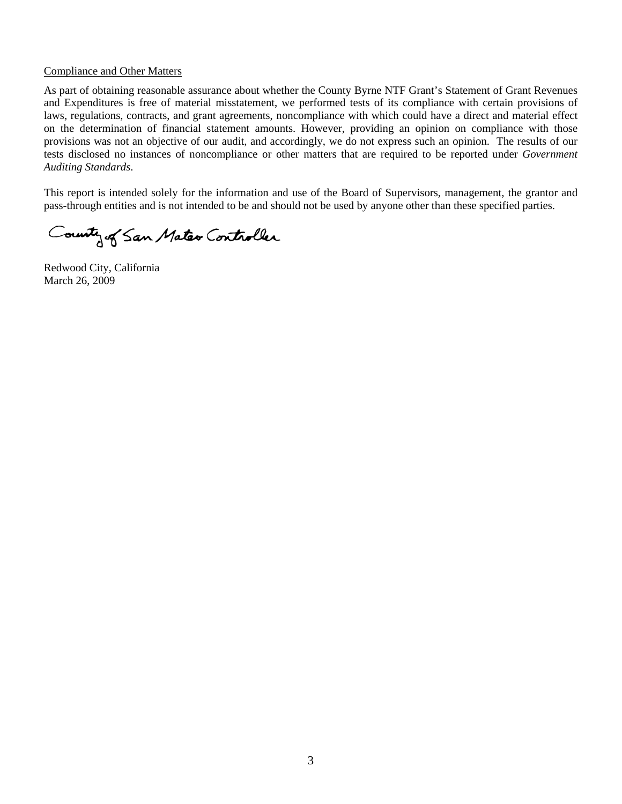#### Compliance and Other Matters

As part of obtaining reasonable assurance about whether the County Byrne NTF Grant's Statement of Grant Revenues and Expenditures is free of material misstatement, we performed tests of its compliance with certain provisions of laws, regulations, contracts, and grant agreements, noncompliance with which could have a direct and material effect on the determination of financial statement amounts. However, providing an opinion on compliance with those provisions was not an objective of our audit, and accordingly, we do not express such an opinion. The results of our tests disclosed no instances of noncompliance or other matters that are required to be reported under *Government Auditing Standards*.

This report is intended solely for the information and use of the Board of Supervisors, management, the grantor and pass-through entities and is not intended to be and should not be used by anyone other than these specified parties.

County of San Mater Controller

Redwood City, California March 26, 2009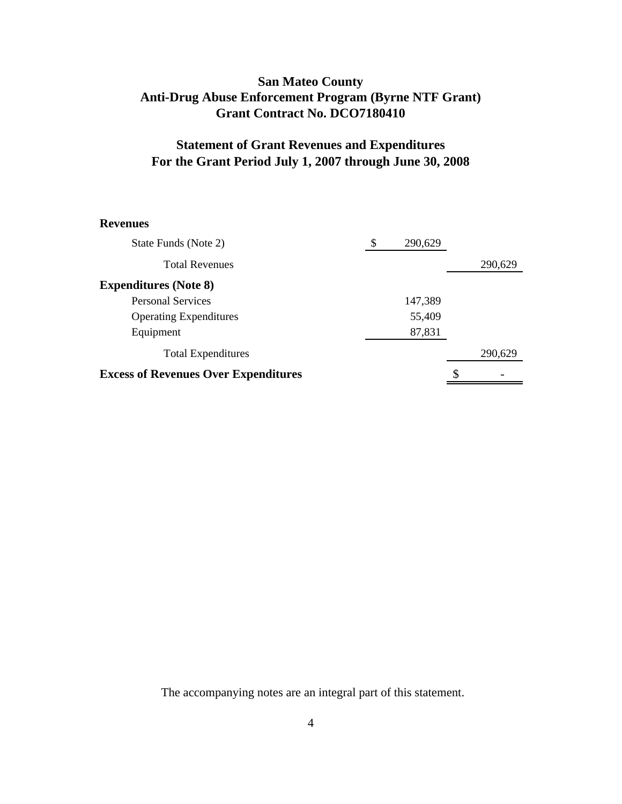## **San Mateo County Anti-Drug Abuse Enforcement Program (Byrne NTF Grant) Grant Contract No. DCO7180410**

# **Statement of Grant Revenues and Expenditures For the Grant Period July 1, 2007 through June 30, 2008**

#### **Revenues**

| State Funds (Note 2)                        | \$ | 290,629 |         |
|---------------------------------------------|----|---------|---------|
| <b>Total Revenues</b>                       |    |         | 290,629 |
| <b>Expenditures</b> (Note 8)                |    |         |         |
| <b>Personal Services</b>                    |    | 147,389 |         |
| <b>Operating Expenditures</b>               |    | 55,409  |         |
| Equipment                                   |    | 87,831  |         |
| <b>Total Expenditures</b>                   |    |         | 290,629 |
| <b>Excess of Revenues Over Expenditures</b> |    |         | \$      |

The accompanying notes are an integral part of this statement.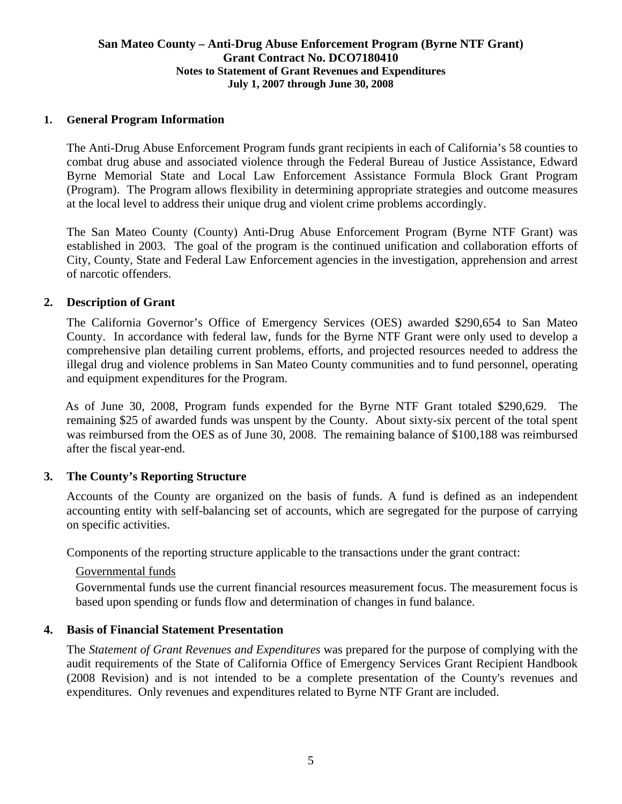### **San Mateo County – Anti-Drug Abuse Enforcement Program (Byrne NTF Grant) Grant Contract No. DCO7180410 Notes to Statement of Grant Revenues and Expenditures July 1, 2007 through June 30, 2008**

## **1. General Program Information**

The Anti-Drug Abuse Enforcement Program funds grant recipients in each of California's 58 counties to combat drug abuse and associated violence through the Federal Bureau of Justice Assistance, Edward Byrne Memorial State and Local Law Enforcement Assistance Formula Block Grant Program (Program). The Program allows flexibility in determining appropriate strategies and outcome measures at the local level to address their unique drug and violent crime problems accordingly.

The San Mateo County (County) Anti-Drug Abuse Enforcement Program (Byrne NTF Grant) was established in 2003. The goal of the program is the continued unification and collaboration efforts of City, County, State and Federal Law Enforcement agencies in the investigation, apprehension and arrest of narcotic offenders.

### **2. Description of Grant**

The California Governor's Office of Emergency Services (OES) awarded \$290,654 to San Mateo County. In accordance with federal law, funds for the Byrne NTF Grant were only used to develop a comprehensive plan detailing current problems, efforts, and projected resources needed to address the illegal drug and violence problems in San Mateo County communities and to fund personnel, operating and equipment expenditures for the Program.

 As of June 30, 2008, Program funds expended for the Byrne NTF Grant totaled \$290,629. The remaining \$25 of awarded funds was unspent by the County. About sixty-six percent of the total spent was reimbursed from the OES as of June 30, 2008. The remaining balance of \$100,188 was reimbursed after the fiscal year-end.

### **3. The County's Reporting Structure**

Accounts of the County are organized on the basis of funds. A fund is defined as an independent accounting entity with self-balancing set of accounts, which are segregated for the purpose of carrying on specific activities.

Components of the reporting structure applicable to the transactions under the grant contract:

### Governmental funds

 Governmental funds use the current financial resources measurement focus. The measurement focus is based upon spending or funds flow and determination of changes in fund balance.

### **4. Basis of Financial Statement Presentation**

The *Statement of Grant Revenues and Expenditures* was prepared for the purpose of complying with the audit requirements of the State of California Office of Emergency Services Grant Recipient Handbook (2008 Revision) and is not intended to be a complete presentation of the County's revenues and expenditures. Only revenues and expenditures related to Byrne NTF Grant are included.